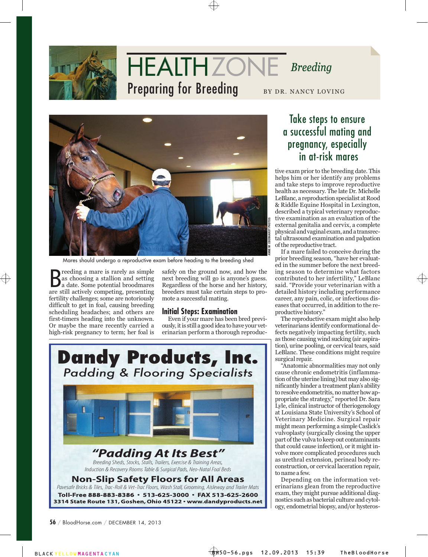

# HEALTH ZONE *Breeding* Preparing for Breeding BY DR. NANCY LOVING



Mares should undergo a reproductive exam before heading to the breeding shed

B reeding a mare is rarely as simple as choosing a stallion and setting a date. Some potential broodmares are still actively competing, presenting fertility challenges; some are notoriously difficult to get in foal, causing breeding scheduling headaches; and others are first-timers heading into the unknown. or maybe the mare recently carried a high-risk pregnancy to term; her foal is

safely on the ground now, and how the next breeding will go is anyone's guess. Regardless of the horse and her history, breeders must take certain steps to promote a successful mating.

#### **Initial Steps: Examination**

Even if your mare has been bred previously, it is still a good idea to have your veterinarian perform a thorough reproduc-



## Take steps to ensure a successful mating and pregnancy, especially in at-risk mares

tive exam prior to the breeding date. This helps him or her identify any problems and take steps to improve reproductive health as necessary. The late Dr. Michelle LeBlanc, a reproduction specialist at Rood & Riddle Equine Hospital in Lexington, described a typical veterinary reproductive examination as an evaluation of the external genitalia and cervix, a complete physical and vaginal exam, and a transrectal ultrasound examination and palpation of the reproductive tract.

If a mare failed to conceive during the prior breeding season, "have her evaluated in the summer before the next breeding season to determine what factors contributed to her infertility," leBlanc said. "Provide your veterinarian with a detailed history including performance career, any pain, colic, or infectious diseases that occurred, in addition to the reproductive history."

The reproductive exam might also help veterinarians identify conformational defects negatively impacting fertility, such as those causing wind sucking (air aspiration), urine pooling, or cervical tears, said leBlanc. These conditions might require surgical repair.

"anatomic abnormalities may not only cause chronic endometritis (inflammation of the uterine lining) but may also significantly hinder a treatment plan's ability to resolve endometritis, no matter how appropriate the strategy," reported Dr. Sara lyle, clinical instructor of theriogenology at louisiana State University's School of veterinary Medicine. Surgical repair might mean performing a simple caslick's vulvoplasty (surgically closing the upper part of the vulva to keep out contaminants that could cause infection), or it might involve more complicated procedures such as urethral extension, perineal body reconstruction, or cervical laceration repair, to name a few.

Depending on the information veterinarians glean from the reproductive exam, they might pursue additional diagnostics such as bacterial culture and cytology, endometrial biopsy, and/or hysteros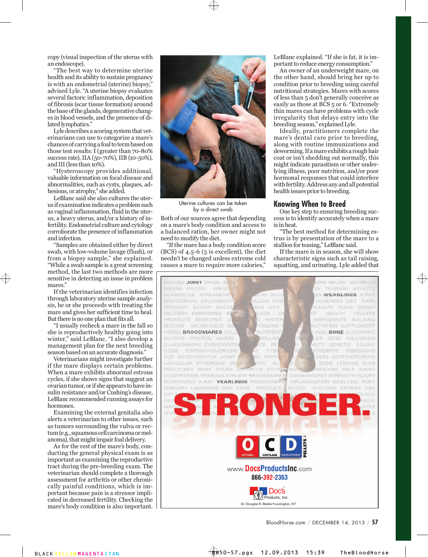copy (visual inspection of the uterus with an endoscope).

"The best way to determine uterine health and its ability to sustain pregnancy is with an endometrial (uterine) biopsy," advised lyle. "a uterine biopsy evaluates several factors: inflammation, deposition of fibrosis (scar tissue formation) around the base of the glands, degenerative changes in blood vessels, and the presence of dilated lymphatics."

lyle describes a scoring system that veterinarians can use to categorize a mare's chances of carrying a foal to term based on those test results: I (greater than 70-80%) success rate), IIA (50-70%), IIB (10-50%), and III (less than 10%).

"Hysteroscopy provides additional, valuable information on focal disease and abnormalities, such as cysts, plaques, adhesions, or atrophy," she added.

leBlanc said she also cultures the uterus if examination indicates a problem such as vaginal inflammation, fluid in the uterus, a heavy uterus, and/or a history of infertility. Endometrial culture and cytology corroborate the presence of inflammation and infection.

"Samples are obtained either by direct swab, with low-volume lavage (flush), or from a biopsy sample," she explained. "While a swab sample is a great screening method, the last two methods are more sensitive in detecting an issue in problem mares."

If the veterinarian identifies infection through laboratory uterine sample analysis, he or she proceeds with treating the mare and gives her sufficient time to heal. But there is no one plan that fits all.

"i usually recheck a mare in the fall so she is reproductively healthy going into winter," said LeBlanc. "I also develop a management plan for the next breeding season based on an accurate diagnosis."

veterinarians might investigate further if the mare displays certain problems. When a mare exhibits abnormal estrous cycles, if she shows signs that suggest an ovarian tumor, or if she appears to have insulin resistance and/or Cushing's disease, leBlanc recommended running assays for hormones.

Examining the external genitalia also alerts a veterinarian to other issues, such as tumors surrounding the vulva or rectum (e.g., squamous cell carcinoma or melanoma), that might impair foal delivery.

as for the rest of the mare's body, conducting the general physical exam is as important as examining the reproductive tract during the pre-breeding exam. The veterinarian should complete a thorough assessment for arthritis or other chronically painful conditions, which is important because pain is a stressor implicated in decreased fertility. checking the mare's body condition is also important.



Uterine cultures can be taken by a direct swab

Both of our sources agree that depending on a mare's body condition and access to a balanced ration, her owner might not need to modify the diet.

"if the mare has a body condition score (BcS) of 4.5-6 (5 is excellent), the diet needn't be changed unless extreme cold causes a mare to require more calories,"

LeBlanc explained. "If she is fat, it is important to reduce energy consumption."

an owner of an underweight mare, on the other hand, should bring her up to condition prior to breeding using careful nutritional strategies. Mares with scores of less than 5 don't generally conceive as easily as those at BCS 5 or 6. "Extremely thin mares can have problems with cycle irregularity that delays entry into the breeding season," explained lyle.

Ideally, practitioners complete the mare's dental care prior to breeding, along with routine immunizations and deworming. If a mare exhibits a rough hair coat or isn't shedding out normally, this might indicate parasitism or other underlying illness, poor nutrition, and/or poor hormonal responses that could interfere with fertility. Address any and all potential health issues prior to breeding.

#### **Knowing When to Breed**

one key step to ensuring breeding success is to identify accurately when a mare is in heat.

"The best method for determining estrus is by presentation of the mare to a stallion for teasing," leBlanc said.

If the mare is in season, she will show characteristic signs such as tail raising, squatting, and urinating. lyle added that